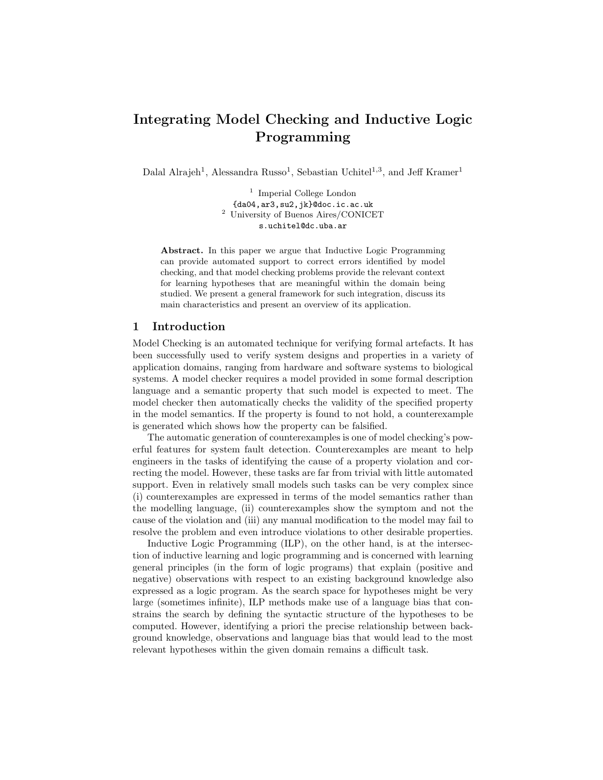# Integrating Model Checking and Inductive Logic Programming

Dalal Alrajeh<sup>1</sup>, Alessandra Russo<sup>1</sup>, Sebastian Uchitel<sup>1,3</sup>, and Jeff Kramer<sup>1</sup>

<sup>1</sup> Imperial College London {da04,ar3,su2,jk}@doc.ic.ac.uk <sup>2</sup> University of Buenos Aires/CONICET s.uchitel@dc.uba.ar

Abstract. In this paper we argue that Inductive Logic Programming can provide automated support to correct errors identified by model checking, and that model checking problems provide the relevant context for learning hypotheses that are meaningful within the domain being studied. We present a general framework for such integration, discuss its main characteristics and present an overview of its application.

#### 1 Introduction

Model Checking is an automated technique for verifying formal artefacts. It has been successfully used to verify system designs and properties in a variety of application domains, ranging from hardware and software systems to biological systems. A model checker requires a model provided in some formal description language and a semantic property that such model is expected to meet. The model checker then automatically checks the validity of the specified property in the model semantics. If the property is found to not hold, a counterexample is generated which shows how the property can be falsified.

The automatic generation of counterexamples is one of model checking's powerful features for system fault detection. Counterexamples are meant to help engineers in the tasks of identifying the cause of a property violation and correcting the model. However, these tasks are far from trivial with little automated support. Even in relatively small models such tasks can be very complex since (i) counterexamples are expressed in terms of the model semantics rather than the modelling language, (ii) counterexamples show the symptom and not the cause of the violation and (iii) any manual modification to the model may fail to resolve the problem and even introduce violations to other desirable properties.

Inductive Logic Programming (ILP), on the other hand, is at the intersection of inductive learning and logic programming and is concerned with learning general principles (in the form of logic programs) that explain (positive and negative) observations with respect to an existing background knowledge also expressed as a logic program. As the search space for hypotheses might be very large (sometimes infinite), ILP methods make use of a language bias that constrains the search by defining the syntactic structure of the hypotheses to be computed. However, identifying a priori the precise relationship between background knowledge, observations and language bias that would lead to the most relevant hypotheses within the given domain remains a difficult task.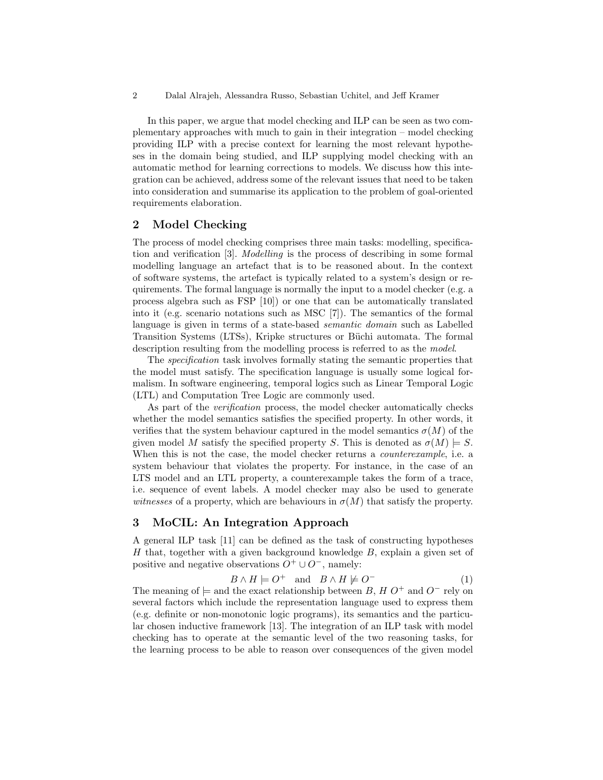2 Dalal Alrajeh, Alessandra Russo, Sebastian Uchitel, and Jeff Kramer

In this paper, we argue that model checking and ILP can be seen as two complementary approaches with much to gain in their integration – model checking providing ILP with a precise context for learning the most relevant hypotheses in the domain being studied, and ILP supplying model checking with an automatic method for learning corrections to models. We discuss how this integration can be achieved, address some of the relevant issues that need to be taken into consideration and summarise its application to the problem of goal-oriented requirements elaboration.

#### 2 Model Checking

The process of model checking comprises three main tasks: modelling, specification and verification [3]. Modelling is the process of describing in some formal modelling language an artefact that is to be reasoned about. In the context of software systems, the artefact is typically related to a system's design or requirements. The formal language is normally the input to a model checker (e.g. a process algebra such as FSP [10]) or one that can be automatically translated into it (e.g. scenario notations such as MSC [7]). The semantics of the formal language is given in terms of a state-based *semantic domain* such as Labelled Transition Systems (LTSs), Kripke structures or Büchi automata. The formal description resulting from the modelling process is referred to as the model.

The specification task involves formally stating the semantic properties that the model must satisfy. The specification language is usually some logical formalism. In software engineering, temporal logics such as Linear Temporal Logic (LTL) and Computation Tree Logic are commonly used.

As part of the verification process, the model checker automatically checks whether the model semantics satisfies the specified property. In other words, it verifies that the system behaviour captured in the model semantics  $\sigma(M)$  of the given model M satisfy the specified property S. This is denoted as  $\sigma(M) \models S$ . When this is not the case, the model checker returns a *counterexample*, i.e. a system behaviour that violates the property. For instance, in the case of an LTS model and an LTL property, a counterexample takes the form of a trace, i.e. sequence of event labels. A model checker may also be used to generate witnesses of a property, which are behaviours in  $\sigma(M)$  that satisfy the property.

### 3 MoCIL: An Integration Approach

A general ILP task [11] can be defined as the task of constructing hypotheses  $H$  that, together with a given background knowledge  $B$ , explain a given set of positive and negative observations  $O^+ \cup O^-$ , namely:

$$
B \wedge H \models O^+ \quad \text{and} \quad B \wedge H \not\models O^- \tag{1}
$$

The meaning of  $\models$  and the exact relationship between B, H O<sup>+</sup> and O<sup>-</sup> rely on several factors which include the representation language used to express them (e.g. definite or non-monotonic logic programs), its semantics and the particular chosen inductive framework [13]. The integration of an ILP task with model checking has to operate at the semantic level of the two reasoning tasks, for the learning process to be able to reason over consequences of the given model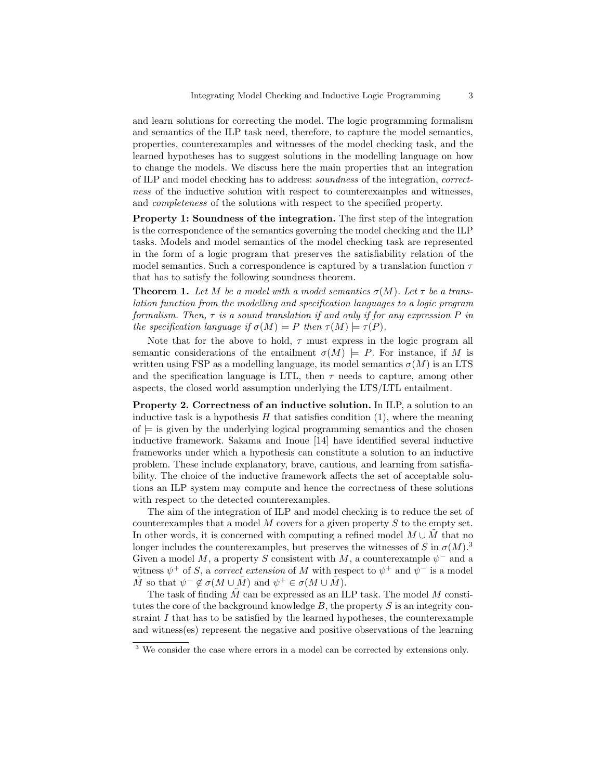and learn solutions for correcting the model. The logic programming formalism and semantics of the ILP task need, therefore, to capture the model semantics, properties, counterexamples and witnesses of the model checking task, and the learned hypotheses has to suggest solutions in the modelling language on how to change the models. We discuss here the main properties that an integration of ILP and model checking has to address: soundness of the integration, correctness of the inductive solution with respect to counterexamples and witnesses, and completeness of the solutions with respect to the specified property.

Property 1: Soundness of the integration. The first step of the integration is the correspondence of the semantics governing the model checking and the ILP tasks. Models and model semantics of the model checking task are represented in the form of a logic program that preserves the satisfiability relation of the model semantics. Such a correspondence is captured by a translation function  $\tau$ that has to satisfy the following soundness theorem.

**Theorem 1.** Let M be a model with a model semantics  $\sigma(M)$ . Let  $\tau$  be a translation function from the modelling and specification languages to a logic program formalism. Then,  $\tau$  is a sound translation if and only if for any expression P in the specification language if  $\sigma(M) \models P$  then  $\tau(M) \models \tau(P)$ .

Note that for the above to hold,  $\tau$  must express in the logic program all semantic considerations of the entailment  $\sigma(M) \models P$ . For instance, if M is written using FSP as a modelling language, its model semantics  $\sigma(M)$  is an LTS and the specification language is LTL, then  $\tau$  needs to capture, among other aspects, the closed world assumption underlying the LTS/LTL entailment.

Property 2. Correctness of an inductive solution. In ILP, a solution to an inductive task is a hypothesis  $H$  that satisfies condition  $(1)$ , where the meaning of  $\models$  is given by the underlying logical programming semantics and the chosen inductive framework. Sakama and Inoue [14] have identified several inductive frameworks under which a hypothesis can constitute a solution to an inductive problem. These include explanatory, brave, cautious, and learning from satisfiability. The choice of the inductive framework affects the set of acceptable solutions an ILP system may compute and hence the correctness of these solutions with respect to the detected counterexamples.

The aim of the integration of ILP and model checking is to reduce the set of counterexamples that a model  $M$  covers for a given property  $S$  to the empty set. In other words, it is concerned with computing a refined model  $M \cup M$  that no longer includes the counterexamples, but preserves the witnesses of S in  $\sigma(M)$ <sup>3</sup> Given a model M, a property S consistent with M, a counterexample  $\psi^-$  and a witness  $\psi^+$  of S, a correct extension of M with respect to  $\psi^+$  and  $\psi^-$  is a model  $\tilde{M}$  so that  $\psi^- \notin \sigma(M \cup \tilde{M})$  and  $\psi^+ \in \sigma(M \cup \tilde{M})$ .

The task of finding  $M$  can be expressed as an ILP task. The model  $M$  constitutes the core of the background knowledge  $B$ , the property  $S$  is an integrity constraint  $I$  that has to be satisfied by the learned hypotheses, the counterexample and witness(es) represent the negative and positive observations of the learning

<sup>&</sup>lt;sup>3</sup> We consider the case where errors in a model can be corrected by extensions only.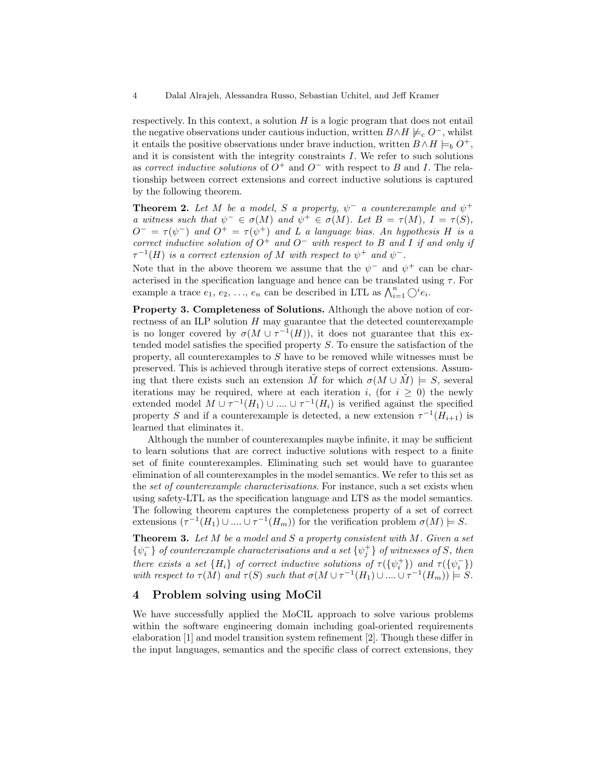respectively. In this context, a solution  $H$  is a logic program that does not entail the negative observations under cautious induction, written  $B \wedge H \not\models_{c} O^-$ , whilst it entails the positive observations under brave induction, written  $B \wedge H \models_b O^+,$ and it is consistent with the integrity constraints I. We refer to such solutions as correct inductive solutions of  $O^+$  and  $O^-$  with respect to B and I. The relationship between correct extensions and correct inductive solutions is captured by the following theorem.

**Theorem 2.** Let M be a model, S a property,  $\psi^-$  a counterexample and  $\psi^+$ a witness such that  $\psi^- \in \sigma(M)$  and  $\psi^+ \in \sigma(M)$ . Let  $B = \tau(M)$ ,  $I = \tau(S)$ ,  $O^- = \tau(\psi^-)$  and  $O^+ = \tau(\psi^+)$  and L a language bias. An hypothesis H is a correct inductive solution of  $O^+$  and  $O^-$  with respect to B and I if and only if  $\tau^{-1}(H)$  is a correct extension of M with respect to  $\psi^+$  and  $\psi^-$ .

Note that in the above theorem we assume that the  $\psi^-$  and  $\psi^+$  can be characterised in the specification language and hence can be translated using  $\tau$ . For example a trace  $e_1, e_2, \ldots, e_n$  can be described in LTL as  $\bigwedge_{i=1}^n \bigcirc^i e_i$ .

Property 3. Completeness of Solutions. Although the above notion of correctness of an ILP solution  $H$  may guarantee that the detected counterexample is no longer covered by  $\sigma(M \cup \tau^{-1}(H))$ , it does not guarantee that this extended model satisfies the specified property S. To ensure the satisfaction of the property, all counterexamples to S have to be removed while witnesses must be preserved. This is achieved through iterative steps of correct extensions. Assuming that there exists such an extension M for which  $\sigma(M \cup M) \models S$ , several iterations may be required, where at each iteration i, (for  $i > 0$ ) the newly extended model  $M \cup \tau^{-1}(H_1) \cup ... \cup \tau^{-1}(H_i)$  is verified against the specified property S and if a counterexample is detected, a new extension  $\tau^{-1}(H_{i+1})$  is learned that eliminates it.

Although the number of counterexamples maybe infinite, it may be sufficient to learn solutions that are correct inductive solutions with respect to a finite set of finite counterexamples. Eliminating such set would have to guarantee elimination of all counterexamples in the model semantics. We refer to this set as the set of counterexample characterisations. For instance, such a set exists when using safety-LTL as the specification language and LTS as the model semantics. The following theorem captures the completeness property of a set of correct extensions  $(\tau^{-1}(H_1) \cup ... \cup \tau^{-1}(H_m))$  for the verification problem  $\sigma(M) \models S$ .

**Theorem 3.** Let  $M$  be a model and  $S$  a property consistent with  $M$ . Given a set  $\{\psi_i^-\}$  of counterexample characterisations and a set  $\{\psi_j^+\}$  of witnesses of S, then there exists a set  $\{H_i\}$  of correct inductive solutions of  $\tau(\{\psi_i^+\})$  and  $\tau(\{\psi_i^-\})$ with respect to  $\tau(M)$  and  $\tau(S)$  such that  $\sigma(M \cup \tau^{-1}(H_1) \cup ... \cup \tau^{-1}(H_m)) \models S$ .

## 4 Problem solving using MoCil

We have successfully applied the MoCIL approach to solve various problems within the software engineering domain including goal-oriented requirements elaboration [1] and model transition system refinement [2]. Though these differ in the input languages, semantics and the specific class of correct extensions, they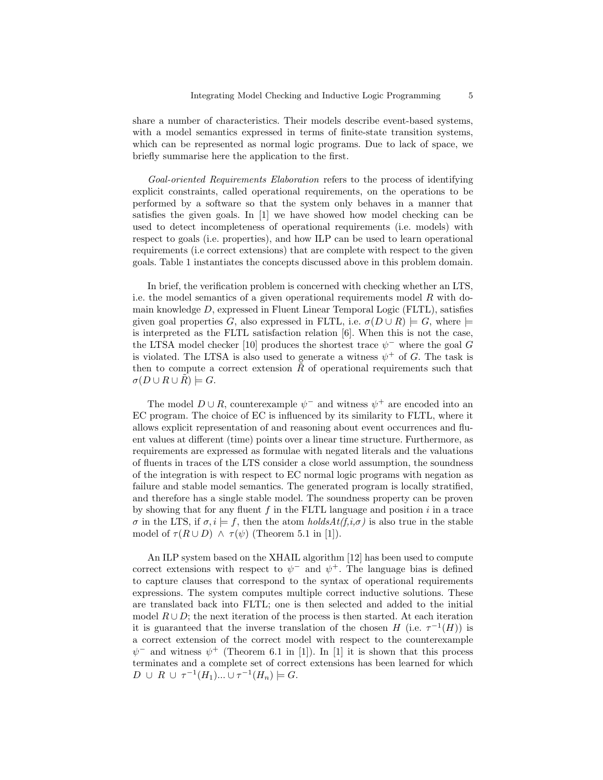share a number of characteristics. Their models describe event-based systems, with a model semantics expressed in terms of finite-state transition systems, which can be represented as normal logic programs. Due to lack of space, we briefly summarise here the application to the first.

Goal-oriented Requirements Elaboration refers to the process of identifying explicit constraints, called operational requirements, on the operations to be performed by a software so that the system only behaves in a manner that satisfies the given goals. In [1] we have showed how model checking can be used to detect incompleteness of operational requirements (i.e. models) with respect to goals (i.e. properties), and how ILP can be used to learn operational requirements (i.e correct extensions) that are complete with respect to the given goals. Table 1 instantiates the concepts discussed above in this problem domain.

In brief, the verification problem is concerned with checking whether an LTS, i.e. the model semantics of a given operational requirements model  $R$  with domain knowledge  $D$ , expressed in Fluent Linear Temporal Logic (FLTL), satisfies given goal properties G, also expressed in FLTL, i.e.  $\sigma(D \cup R) \models G$ , where  $\models$ is interpreted as the FLTL satisfaction relation [6]. When this is not the case, the LTSA model checker [10] produces the shortest trace  $\psi^-$  where the goal G is violated. The LTSA is also used to generate a witness  $\psi^+$  of G. The task is then to compute a correct extension  $\tilde{R}$  of operational requirements such that  $\sigma(D \cup R \cup R) \models G.$ 

The model  $D \cup R$ , counterexample  $\psi^-$  and witness  $\psi^+$  are encoded into an EC program. The choice of EC is influenced by its similarity to FLTL, where it allows explicit representation of and reasoning about event occurrences and fluent values at different (time) points over a linear time structure. Furthermore, as requirements are expressed as formulae with negated literals and the valuations of fluents in traces of the LTS consider a close world assumption, the soundness of the integration is with respect to EC normal logic programs with negation as failure and stable model semantics. The generated program is locally stratified, and therefore has a single stable model. The soundness property can be proven by showing that for any fluent f in the FLTL language and position  $i$  in a trace σ in the LTS, if  $\sigma, i \models f$ , then the atom holds  $At(f, i, \sigma)$  is also true in the stable model of  $\tau(R\cup D) \wedge \tau(\psi)$  (Theorem 5.1 in [1]).

An ILP system based on the XHAIL algorithm [12] has been used to compute correct extensions with respect to  $\psi^-$  and  $\psi^+$ . The language bias is defined to capture clauses that correspond to the syntax of operational requirements expressions. The system computes multiple correct inductive solutions. These are translated back into FLTL; one is then selected and added to the initial model  $R \cup D$ ; the next iteration of the process is then started. At each iteration it is guaranteed that the inverse translation of the chosen H (i.e.  $\tau^{-1}(H)$ ) is a correct extension of the correct model with respect to the counterexample  $\psi^-$  and witness  $\psi^+$  (Theorem 6.1 in [1]). In [1] it is shown that this process terminates and a complete set of correct extensions has been learned for which  $D \cup R \cup \tau^{-1}(H_1) ... \cup \tau^{-1}(H_n) \models G.$